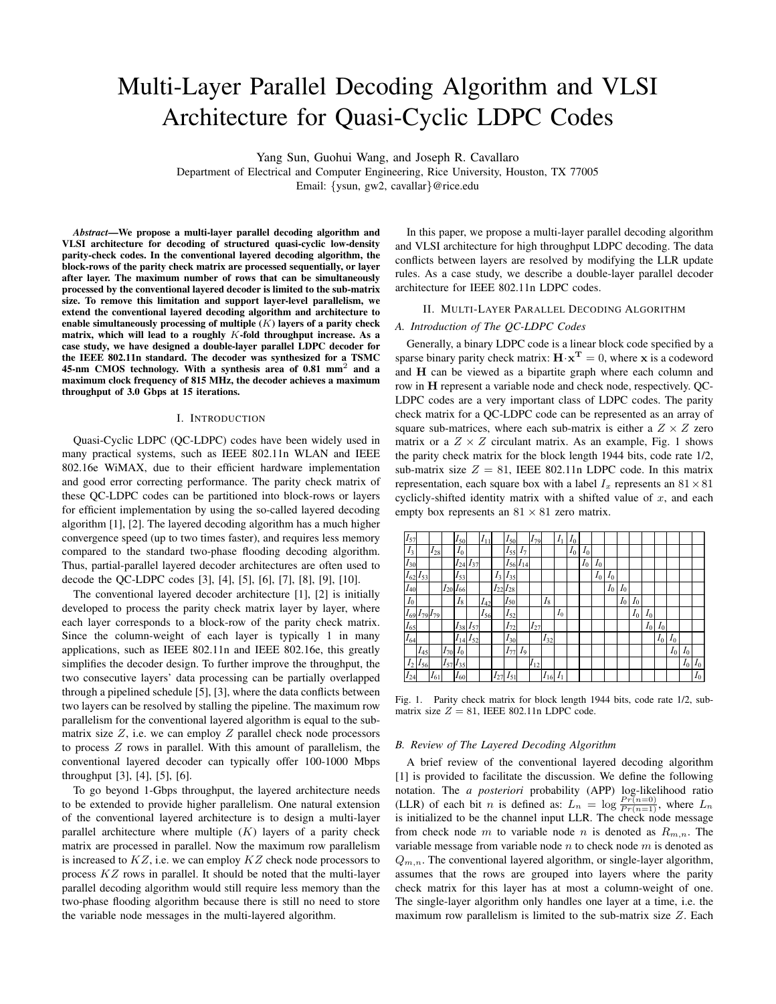# Multi-Layer Parallel Decoding Algorithm and VLSI Architecture for Quasi-Cyclic LDPC Codes

Yang Sun, Guohui Wang, and Joseph R. Cavallaro

Department of Electrical and Computer Engineering, Rice University, Houston, TX 77005

Email: {ysun, gw2, cavallar}@rice.edu

*Abstract*—We propose a multi-layer parallel decoding algorithm and VLSI architecture for decoding of structured quasi-cyclic low-density parity-check codes. In the conventional layered decoding algorithm, the block-rows of the parity check matrix are processed sequentially, or layer after layer. The maximum number of rows that can be simultaneously processed by the conventional layered decoder is limited to the sub-matrix size. To remove this limitation and support layer-level parallelism, we extend the conventional layered decoding algorithm and architecture to enable simultaneously processing of multiple  $(K)$  layers of a parity check matrix, which will lead to a roughly  $K$ -fold throughput increase. As a case study, we have designed a double-layer parallel LDPC decoder for the IEEE 802.11n standard. The decoder was synthesized for a TSMC 45-nm CMOS technology. With a synthesis area of 0.81 mm<sup>2</sup> and a maximum clock frequency of 815 MHz, the decoder achieves a maximum throughput of 3.0 Gbps at 15 iterations.

## I. INTRODUCTION

Quasi-Cyclic LDPC (QC-LDPC) codes have been widely used in many practical systems, such as IEEE 802.11n WLAN and IEEE 802.16e WiMAX, due to their efficient hardware implementation and good error correcting performance. The parity check matrix of these QC-LDPC codes can be partitioned into block-rows or layers for efficient implementation by using the so-called layered decoding algorithm [1], [2]. The layered decoding algorithm has a much higher convergence speed (up to two times faster), and requires less memory compared to the standard two-phase flooding decoding algorithm. Thus, partial-parallel layered decoder architectures are often used to decode the QC-LDPC codes [3], [4], [5], [6], [7], [8], [9], [10].

The conventional layered decoder architecture [1], [2] is initially developed to process the parity check matrix layer by layer, where each layer corresponds to a block-row of the parity check matrix. Since the column-weight of each layer is typically 1 in many applications, such as IEEE 802.11n and IEEE 802.16e, this greatly simplifies the decoder design. To further improve the throughput, the two consecutive layers' data processing can be partially overlapped through a pipelined schedule [5], [3], where the data conflicts between two layers can be resolved by stalling the pipeline. The maximum row parallelism for the conventional layered algorithm is equal to the submatrix size  $Z$ , i.e. we can employ  $Z$  parallel check node processors to process  $Z$  rows in parallel. With this amount of parallelism, the conventional layered decoder can typically offer 100-1000 Mbps throughput [3], [4], [5], [6].

To go beyond 1-Gbps throughput, the layered architecture needs to be extended to provide higher parallelism. One natural extension of the conventional layered architecture is to design a multi-layer parallel architecture where multiple  $(K)$  layers of a parity check matrix are processed in parallel. Now the maximum row parallelism is increased to  $KZ$ , i.e. we can employ  $KZ$  check node processors to process KZ rows in parallel. It should be noted that the multi-layer parallel decoding algorithm would still require less memory than the two-phase flooding algorithm because there is still no need to store the variable node messages in the multi-layered algorithm.

In this paper, we propose a multi-layer parallel decoding algorithm and VLSI architecture for high throughput LDPC decoding. The data conflicts between layers are resolved by modifying the LLR update rules. As a case study, we describe a double-layer parallel decoder architecture for IEEE 802.11n LDPC codes.

# II. MULTI-LAYER PARALLEL DECODING ALGORITHM

#### *A. Introduction of The QC-LDPC Codes*

Generally, a binary LDPC code is a linear block code specified by a sparse binary parity check matrix:  $\mathbf{H} \cdot \mathbf{x}^{\mathbf{T}} = 0$ , where x is a codeword and H can be viewed as a bipartite graph where each column and row in H represent a variable node and check node, respectively. QC-LDPC codes are a very important class of LDPC codes. The parity check matrix for a QC-LDPC code can be represented as an array of square sub-matrices, where each sub-matrix is either a  $Z \times Z$  zero matrix or a  $Z \times Z$  circulant matrix. As an example, Fig. 1 shows the parity check matrix for the block length 1944 bits, code rate 1/2, sub-matrix size  $Z = 81$ , IEEE 802.11n LDPC code. In this matrix representation, each square box with a label  $I_x$  represents an  $81 \times 81$ cyclicly-shifted identity matrix with a shifted value of  $x$ , and each empty box represents an  $81 \times 81$  zero matrix.

| $I_{57}$         |                   |           |          | $I_{50}$       |                   | $I_{11}$ |                       | $I_{50}$ |                   | $I_{79}$ |          | $I_{1}$ | $I_0$ |       |       |         |         |       |       |       |       |       |       |
|------------------|-------------------|-----------|----------|----------------|-------------------|----------|-----------------------|----------|-------------------|----------|----------|---------|-------|-------|-------|---------|---------|-------|-------|-------|-------|-------|-------|
| $\overline{I}_3$ |                   | $I_{281}$ |          | $I_0$          |                   |          |                       | $I_{55}$ | $I_7$ '           |          |          |         | $I_0$ | $I_0$ |       |         |         |       |       |       |       |       |       |
| $I_{30}$         |                   |           |          | $I_{24}$       | $I_{37}$          |          |                       |          | $I_{56}$ $I_{14}$ |          |          |         |       | $I_0$ | $I_0$ |         |         |       |       |       |       |       |       |
| $I_{62}$         | $I_{53}$          |           |          | $I_{53}$       |                   |          | $I_{31}$              | $I_{35}$ |                   |          |          |         |       |       | $I_0$ | $I_0$   |         |       |       |       |       |       |       |
| $I_{40}$         |                   |           |          | $I_{20}I_{66}$ |                   |          | $I_{22}$              | $I_{28}$ |                   |          |          |         |       |       |       | $I_{0}$ | $I_0$   |       |       |       |       |       |       |
| $I_0$            |                   |           |          | $I_{8}$        |                   | $I_{42}$ |                       | $I_{50}$ |                   |          | $I_{8}$  |         |       |       |       |         | $I_{0}$ | $I_0$ |       |       |       |       |       |
| $\frac{1}{69}$   | $I_{79}$ $I_{79}$ |           |          |                |                   | $I_{56}$ |                       | $I_{52}$ |                   |          |          | $I_0$   |       |       |       |         |         | $I_0$ | $I_0$ |       |       |       |       |
| $I_{65}$         |                   |           |          |                | $I_{38}$ $I_{57}$ |          |                       | $I_{72}$ |                   | $I_{27}$ |          |         |       |       |       |         |         |       | $I_0$ | $I_0$ |       |       |       |
| $I_{64}$         |                   |           |          |                | $I_{14}$ $I_{52}$ |          |                       | $I_{30}$ |                   |          | $I_{32}$ |         |       |       |       |         |         |       |       | $I_0$ | $I_0$ |       |       |
|                  | $I_{45}$          |           | $I_{70}$ | $I_0$          |                   |          |                       | $I_{77}$ | I9                |          |          |         |       |       |       |         |         |       |       |       | $I_0$ | $I_0$ |       |
| $I_2$            | $I_{56}$          |           |          | $I_{57}I_{35}$ |                   |          |                       |          |                   | $I_{12}$ |          |         |       |       |       |         |         |       |       |       |       | $I_0$ | $I_0$ |
| $I_{24}$         |                   | $I_{61}$  |          | $I_{60}$       |                   |          | $1/\!\!\!\!\!\!\!1_2$ | $I_{51}$ |                   |          | $I_{16}$ | $I_1$   |       |       |       |         |         |       |       |       |       |       | $I_0$ |

Fig. 1. Parity check matrix for block length 1944 bits, code rate 1/2, submatrix size  $Z = 81$ , IEEE 802.11n LDPC code.

# *B. Review of The Layered Decoding Algorithm*

A brief review of the conventional layered decoding algorithm [1] is provided to facilitate the discussion. We define the following notation. The *a posteriori* probability (APP) log-likelihood ratio (LLR) of each bit *n* is defined as:  $L_n = \log \frac{Pr(n=0)}{Pr(n=1)}$ , where  $L_n$ is initialized to be the channel input LLR. The check node message from check node m to variable node n is denoted as  $R_{m,n}$ . The variable message from variable node  $n$  to check node  $m$  is denoted as  $Q_{m,n}$ . The conventional layered algorithm, or single-layer algorithm, assumes that the rows are grouped into layers where the parity check matrix for this layer has at most a column-weight of one. The single-layer algorithm only handles one layer at a time, i.e. the maximum row parallelism is limited to the sub-matrix size  $Z$ . Each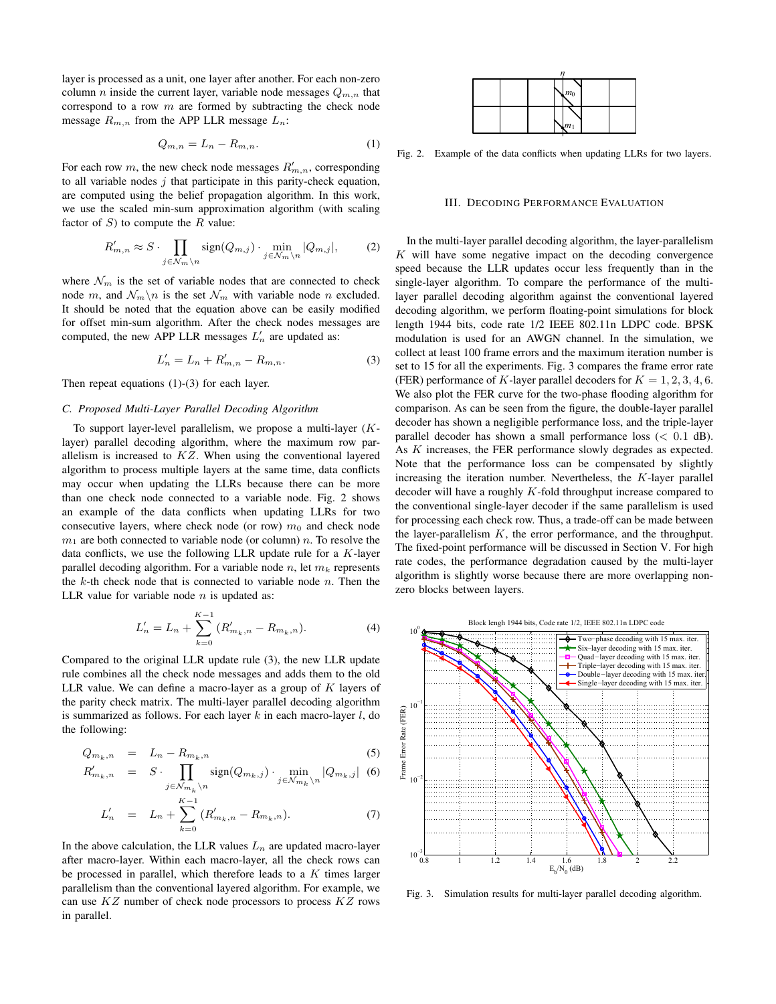layer is processed as a unit, one layer after another. For each non-zero column *n* inside the current layer, variable node messages  $Q_{m,n}$  that correspond to a row  $m$  are formed by subtracting the check node message  $R_{m,n}$  from the APP LLR message  $L_n$ :

$$
Q_{m,n} = L_n - R_{m,n}.\tag{1}
$$

For each row m, the new check node messages  $R'_{m,n}$ , corresponding to all variable nodes  $j$  that participate in this parity-check equation, are computed using the belief propagation algorithm. In this work, we use the scaled min-sum approximation algorithm (with scaling factor of  $S$ ) to compute the  $R$  value:

$$
R'_{m,n} \approx S \cdot \prod_{j \in \mathcal{N}_m \backslash n} sign(Q_{m,j}) \cdot \min_{j \in \mathcal{N}_m \backslash n} |Q_{m,j}|,
$$
 (2)

where  $\mathcal{N}_m$  is the set of variable nodes that are connected to check node m, and  $\mathcal{N}_m\backslash n$  is the set  $\mathcal{N}_m$  with variable node n excluded. It should be noted that the equation above can be easily modified for offset min-sum algorithm. After the check nodes messages are computed, the new APP LLR messages  $L'_n$  are updated as:

$$
L'_n = L_n + R'_{m,n} - R_{m,n}.
$$
 (3)

Then repeat equations (1)-(3) for each layer.

## *C. Proposed Multi-Layer Parallel Decoding Algorithm*

To support layer-level parallelism, we propose a multi-layer  $(K$ layer) parallel decoding algorithm, where the maximum row parallelism is increased to  $KZ$ . When using the conventional layered algorithm to process multiple layers at the same time, data conflicts may occur when updating the LLRs because there can be more than one check node connected to a variable node. Fig. 2 shows an example of the data conflicts when updating LLRs for two consecutive layers, where check node (or row)  $m_0$  and check node  $m_1$  are both connected to variable node (or column) n. To resolve the data conflicts, we use the following LLR update rule for a  $K$ -layer parallel decoding algorithm. For a variable node n, let  $m_k$  represents the  $k$ -th check node that is connected to variable node  $n$ . Then the LLR value for variable node  $n$  is updated as:

$$
L'_{n} = L_{n} + \sum_{k=0}^{K-1} (R'_{m_{k},n} - R_{m_{k},n}).
$$
\n(4)

Compared to the original LLR update rule (3), the new LLR update rule combines all the check node messages and adds them to the old LLR value. We can define a macro-layer as a group of  $K$  layers of the parity check matrix. The multi-layer parallel decoding algorithm is summarized as follows. For each layer  $k$  in each macro-layer  $l$ , do the following:

$$
Q_{m_k,n} = L_n - R_{m_k,n} \tag{5}
$$

$$
R'_{m_k, n} = S \cdot \prod_{j \in \mathcal{N}_{m_k} \backslash n} sign(Q_{m_k, j}) \cdot \min_{j \in \mathcal{N}_{m_k} \backslash n} |Q_{m_k, j}| \quad (6)
$$

$$
L'_{n} = L_{n} + \sum_{k=0}^{K-1} (R'_{m_{k},n} - R_{m_{k},n}).
$$
\n(7)

In the above calculation, the LLR values  $L_n$  are updated macro-layer after macro-layer. Within each macro-layer, all the check rows can be processed in parallel, which therefore leads to a  $K$  times larger parallelism than the conventional layered algorithm. For example, we can use  $KZ$  number of check node processors to process  $KZ$  rows in parallel.

|  |  |  |  | m <sub>0</sub> |  |  |  |  |
|--|--|--|--|----------------|--|--|--|--|
|  |  |  |  | $ m_1$         |  |  |  |  |

Fig. 2. Example of the data conflicts when updating LLRs for two layers.

## III. DECODING PERFORMANCE EVALUATION

In the multi-layer parallel decoding algorithm, the layer-parallelism  $K$  will have some negative impact on the decoding convergence speed because the LLR updates occur less frequently than in the single-layer algorithm. To compare the performance of the multilayer parallel decoding algorithm against the conventional layered decoding algorithm, we perform floating-point simulations for block length 1944 bits, code rate 1/2 IEEE 802.11n LDPC code. BPSK modulation is used for an AWGN channel. In the simulation, we collect at least 100 frame errors and the maximum iteration number is set to 15 for all the experiments. Fig. 3 compares the frame error rate (FER) performance of K-layer parallel decoders for  $K = 1, 2, 3, 4, 6$ . We also plot the FER curve for the two-phase flooding algorithm for comparison. As can be seen from the figure, the double-layer parallel decoder has shown a negligible performance loss, and the triple-layer parallel decoder has shown a small performance loss  $(< 0.1$  dB). As K increases, the FER performance slowly degrades as expected. Note that the performance loss can be compensated by slightly increasing the iteration number. Nevertheless, the  $K$ -layer parallel decoder will have a roughly  $K$ -fold throughput increase compared to the conventional single-layer decoder if the same parallelism is used for processing each check row. Thus, a trade-off can be made between the layer-parallelism  $K$ , the error performance, and the throughput. The fixed-point performance will be discussed in Section V. For high rate codes, the performance degradation caused by the multi-layer algorithm is slightly worse because there are more overlapping nonzero blocks between layers.



Fig. 3. Simulation results for multi-layer parallel decoding algorithm.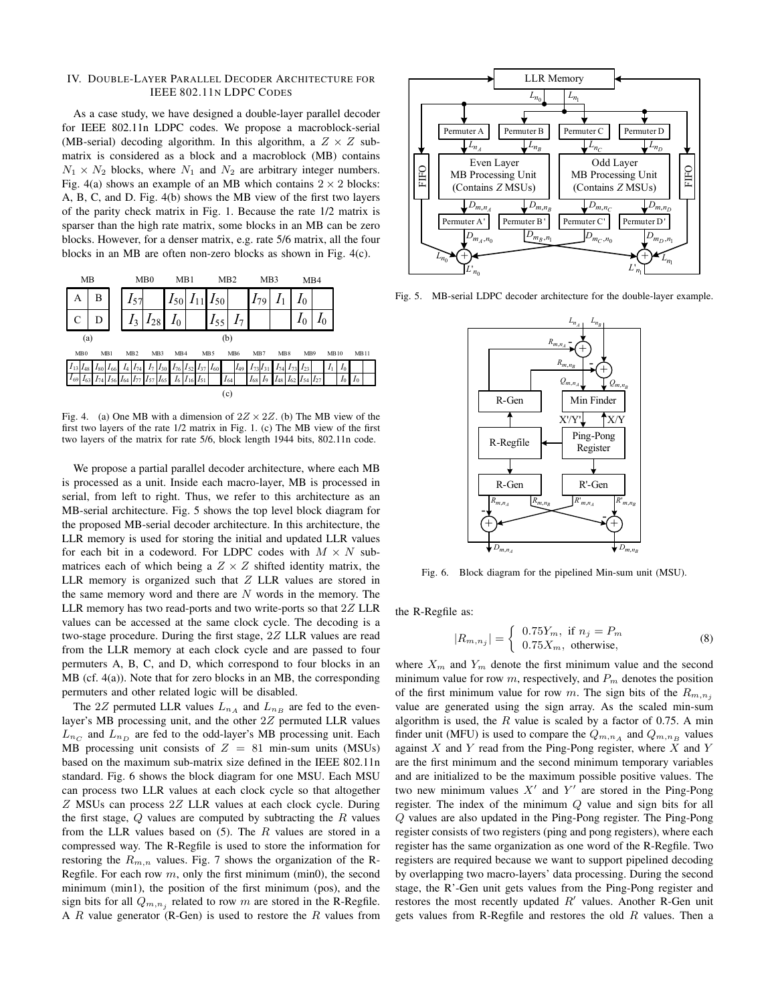#### IV. DOUBLE-LAYER PARALLEL DECODER ARCHITECTURE FOR IEEE 802.11N LDPC CODES

As a case study, we have designed a double-layer parallel decoder for IEEE 802.11n LDPC codes. We propose a macroblock-serial (MB-serial) decoding algorithm. In this algorithm, a  $Z \times Z$  submatrix is considered as a block and a macroblock (MB) contains  $N_1 \times N_2$  blocks, where  $N_1$  and  $N_2$  are arbitrary integer numbers. Fig. 4(a) shows an example of an MB which contains  $2 \times 2$  blocks: A, B, C, and D. Fig. 4(b) shows the MB view of the first two layers of the parity check matrix in Fig. 1. Because the rate 1/2 matrix is sparser than the high rate matrix, some blocks in an MB can be zero blocks. However, for a denser matrix, e.g. rate 5/6 matrix, all the four blocks in an MB are often non-zero blocks as shown in Fig. 4(c).



Fig. 4. (a) One MB with a dimension of  $2Z \times 2Z$ . (b) The MB view of the first two layers of the rate 1/2 matrix in Fig. 1. (c) The MB view of the first two layers of the matrix for rate 5/6, block length 1944 bits, 802.11n code.

We propose a partial parallel decoder architecture, where each MB is processed as a unit. Inside each macro-layer, MB is processed in serial, from left to right. Thus, we refer to this architecture as an MB-serial architecture. Fig. 5 shows the top level block diagram for the proposed MB-serial decoder architecture. In this architecture, the LLR memory is used for storing the initial and updated LLR values for each bit in a codeword. For LDPC codes with  $M \times N$  submatrices each of which being a  $Z \times Z$  shifted identity matrix, the LLR memory is organized such that  $Z$  LLR values are stored in the same memory word and there are  $N$  words in the memory. The LLR memory has two read-ports and two write-ports so that  $2Z$  LLR values can be accessed at the same clock cycle. The decoding is a two-stage procedure. During the first stage, 2Z LLR values are read from the LLR memory at each clock cycle and are passed to four permuters A, B, C, and D, which correspond to four blocks in an MB (cf. 4(a)). Note that for zero blocks in an MB, the corresponding permuters and other related logic will be disabled.

The 2Z permuted LLR values  $L_{n_A}$  and  $L_{n_B}$  are fed to the evenlayer's MB processing unit, and the other 2Z permuted LLR values  $L_{n_C}$  and  $L_{n_D}$  are fed to the odd-layer's MB processing unit. Each MB processing unit consists of  $Z = 81$  min-sum units (MSUs) based on the maximum sub-matrix size defined in the IEEE 802.11n standard. Fig. 6 shows the block diagram for one MSU. Each MSU can process two LLR values at each clock cycle so that altogether Z MSUs can process 2Z LLR values at each clock cycle. During the first stage,  $Q$  values are computed by subtracting the  $R$  values from the LLR values based on  $(5)$ . The R values are stored in a compressed way. The R-Regfile is used to store the information for restoring the  $R_{m,n}$  values. Fig. 7 shows the organization of the R-Regfile. For each row  $m$ , only the first minimum (min0), the second minimum (min1), the position of the first minimum (pos), and the sign bits for all  $Q_{m,n_j}$  related to row m are stored in the R-Regfile. A  $R$  value generator (R-Gen) is used to restore the  $R$  values from



Fig. 5. MB-serial LDPC decoder architecture for the double-layer example.



Fig. 6. Block diagram for the pipelined Min-sum unit (MSU).

the R-Regfile as:

$$
|R_{m,n_j}| = \begin{cases} 0.75Y_m, & \text{if } n_j = P_m \\ 0.75X_m, & \text{otherwise,} \end{cases}
$$
 (8)

where  $X_m$  and  $Y_m$  denote the first minimum value and the second minimum value for row  $m$ , respectively, and  $P_m$  denotes the position of the first minimum value for row m. The sign bits of the  $R_{m,n,j}$ value are generated using the sign array. As the scaled min-sum algorithm is used, the  $R$  value is scaled by a factor of 0.75. A min finder unit (MFU) is used to compare the  $Q_{m,n_A}$  and  $Q_{m,n_B}$  values against  $X$  and  $Y$  read from the Ping-Pong register, where  $X$  and  $Y$ are the first minimum and the second minimum temporary variables and are initialized to be the maximum possible positive values. The two new minimum values  $X'$  and  $Y'$  are stored in the Ping-Pong register. The index of the minimum Q value and sign bits for all Q values are also updated in the Ping-Pong register. The Ping-Pong register consists of two registers (ping and pong registers), where each register has the same organization as one word of the R-Regfile. Two registers are required because we want to support pipelined decoding by overlapping two macro-layers' data processing. During the second stage, the R'-Gen unit gets values from the Ping-Pong register and restores the most recently updated  $R'$  values. Another R-Gen unit gets values from R-Regfile and restores the old  $R$  values. Then a